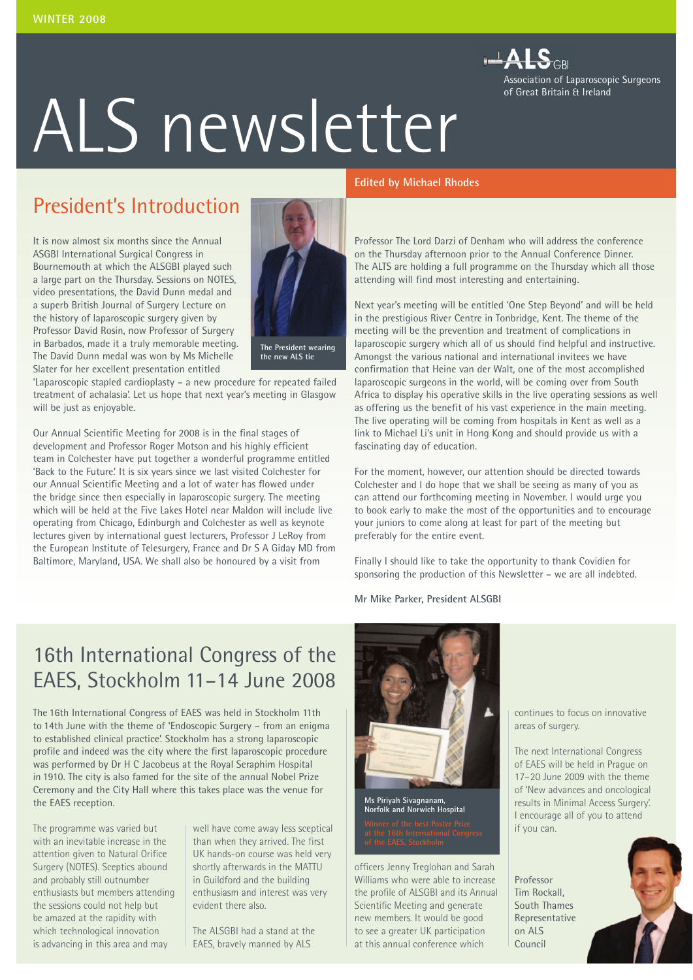

# ALS newsletter

## President's Introduction

It is now almost six months since the Annual ASGBI International Surgical Congress in Bournemouth at which the ALSGBI played such a large part on the Thursday. Sessions on NOTES, video presentations, the David Dunn medal and a superb British Journal of Surgery Lecture on the history of laparoscopic surgery given by Professor David Rosin, now Professor of Surgery in Barbados, made it a truly memorable meeting. The David Dunn medal was won by Ms Michelle Slater for her excellent presentation entitled



'Laparoscopic stapled cardioplasty – a new procedure for repeated failed treatment of achalasia'. Let us hope that next year's meeting in Glasgow will be just as enjoyable.

Our Annual Scientific Meeting for 2008 is in the final stages of development and Professor Roger Motson and his highly efficient team in Colchester have put together a wonderful programme entitled 'Back to the Future.' It is six years since we last visited Colchester for our Annual Scientific Meeting and a lot of water has flowed under the bridge since then especially in laparoscopic surgery. The meeting which will be held at the Five Lakes Hotel near Maldon will include live operating from Chicago, Edinburgh and Colchester as well as keynote lectures given by international guest lecturers, Professor J LeRoy from the European Institute of Telesurgery, France and Dr S A Giday MD from Baltimore, Maryland, USA. We shall also be honoured by a visit from

#### **Edited by Michael Rhodes**

Professor The Lord Darzi of Denham who will address the conference on the Thursday afternoon prior to the Annual Conference Dinner. The ALTS are holding a full programme on the Thursday which all those attending will find most interesting and entertaining.

Next year's meeting will be entitled 'One Step Beyond' and will be held in the prestigious River Centre in Tonbridge, Kent. The theme of the meeting will be the prevention and treatment of complications in laparoscopic surgery which all of us should find helpful and instructive. Amongst the various national and international invitees we have confirmation that Heine van der Walt, one of the most accomplished laparoscopic surgeons in the world, will be coming over from South Africa to display his operative skills in the live operating sessions as well as offering us the benefit of his vast experience in the main meeting. The live operating will be coming from hospitals in Kent as well as a link to Michael Li's unit in Hong Kong and should provide us with a fascinating day of education.

For the moment, however, our attention should be directed towards Colchester and I do hope that we shall be seeing as many of you as can attend our forthcoming meeting in November. I would urge you to book early to make the most of the opportunities and to encourage your juniors to come along at least for part of the meeting but preferably for the entire event.

Finally I should like to take the opportunity to thank Covidien for sponsoring the production of this Newsletter – we are all indebted.

#### **Mr Mike Parker, President ALSGBI**

## 16th International Congress of the EAES, Stockholm 11–14 June 2008

The 16th International Congress of EAES was held in Stockholm 11th to 14th June with the theme of 'Endoscopic Surgery – from an enigma to established clinical practice'. Stockholm has a strong laparoscopic profile and indeed was the city where the first laparoscopic procedure was performed by Dr H C Jacobeus at the Royal Seraphim Hospital in 1910. The city is also famed for the site of the annual Nobel Prize Ceremony and the City Hall where this takes place was the venue for the EAES reception.

The programme was varied but with an inevitable increase in the attention given to Natural Orifice Surgery (NOTES). Sceptics abound and probably still outnumber enthusiasts but members attending the sessions could not help but be amazed at the rapidity with which technological innovation is advancing in this area and may

well have come away less sceptical than when they arrived. The first UK hands-on course was held very shortly afterwards in the MATTU in Guildford and the building enthusiasm and interest was very evident there also.

The ALSGBI had a stand at the EAES, bravely manned by ALS



**Ms Piriyah Sivagnanam, Norfolk and Norwich Hospital**

officers Jenny Treglohan and Sarah Williams who were able to increase the profile of ALSGBI and its Annual Scientific Meeting and generate new members. It would be good to see a greater UK participation at this annual conference which

continues to focus on innovative areas of surgery.

The next International Congress of EAES will be held in Prague on 17–20 June 2009 with the theme of 'New advances and oncological results in Minimal Access Surgery'. I encourage all of you to attend if you can.

Professor Tim Rockall, South Thames Representative on ALS Council

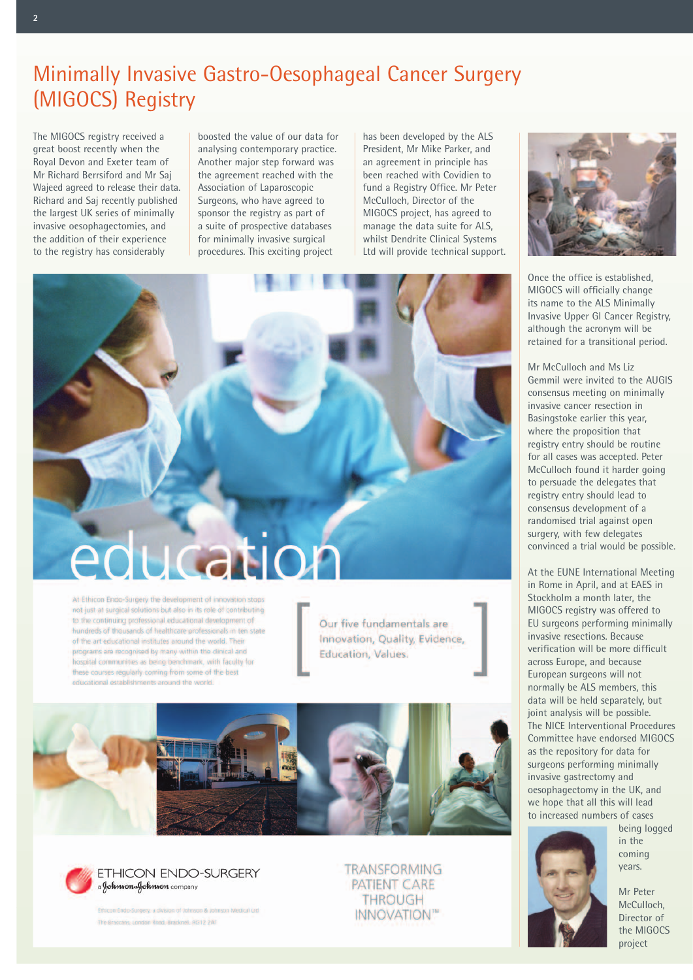## Minimally Invasive Gastro-Oesophageal Cancer Surgery (MIGOCS) Registry

The MIGOCS registry received a great boost recently when the Royal Devon and Exeter team of Mr Richard Berrsiford and Mr Saj Wajeed agreed to release their data. Richard and Saj recently published the largest UK series of minimally invasive oesophagectomies, and the addition of their experience to the registry has considerably

boosted the value of our data for analysing contemporary practice. Another major step forward was the agreement reached with the Association of Laparoscopic Surgeons, who have agreed to sponsor the registry as part of a suite of prospective databases for minimally invasive surgical procedures. This exciting project

has been developed by the ALS President, Mr Mike Parker, and an agreement in principle has been reached with Covidien to fund a Registry Office. Mr Peter McCulloch, Director of the MIGOCS project, has agreed to manage the data suite for ALS, whilst Dendrite Clinical Systems Ltd will provide technical support.



Once the office is established, MIGOCS will officially change its name to the ALS Minimally Invasive Upper GI Cancer Registry, although the acronym will be retained for a transitional period.

Mr McCulloch and Ms Liz Gemmil were invited to the AUGIS consensus meeting on minimally invasive cancer resection in Basingstoke earlier this year, where the proposition that registry entry should be routine for all cases was accepted. Peter McCulloch found it harder going to persuade the delegates that registry entry should lead to consensus development of a randomised trial against open surgery, with few delegates convinced a trial would be possible.

At the EUNE International Meeting in Rome in April, and at EAES in Stockholm a month later, the MIGOCS registry was offered to EU surgeons performing minimally invasive resections. Because verification will be more difficult across Europe, and because European surgeons will not normally be ALS members, this data will be held separately, but joint analysis will be possible. The NICE Interventional Procedures Committee have endorsed MIGOCS as the repository for data for surgeons performing minimally invasive gastrectomy and oesophagectomy in the UK, and we hope that all this will lead to increased numbers of cases



being logged in the coming years.

Mr Peter McCulloch, Director of the MIGOCS project

At Ethicon Endo-Surgery the development of innovation stops not just at surgical solutions but also in its role of contributing to the continuing professional educational development of hundreds of thousands of healthcare professionals in ten state of the art educational institutes around the world. Their programs are recognised by many within the clinical and hospital communities as being benchmark, with faculty for these courses regularly coming from some of the best educational establishments around the world.

Our five fundamentals are Innovation, Quality, Evidence, Education, Values.





ETHICON ENDO-SURGERY a Johnson Johnson company

Endo-Surgery, a division of Johnson & Johnson Medical Ltd The Braccans, London Road, Bracknell, RG12 2AT

**TRANSFORMING PATIENT CARE THROUGH INNOVATION™**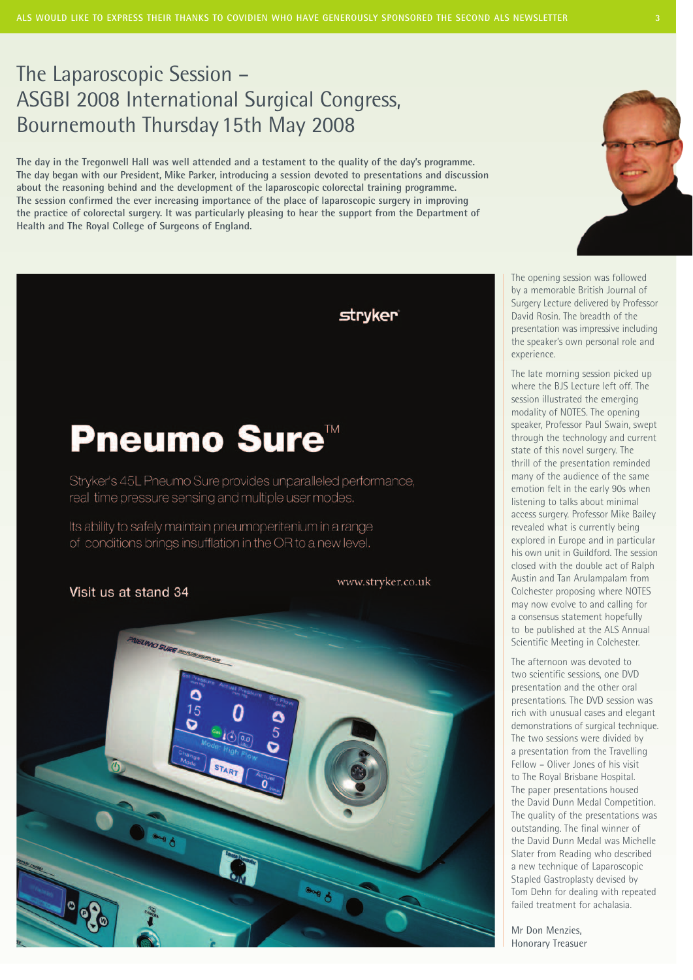## The Laparoscopic Session – ASGBI 2008 International Surgical Congress, Bournemouth Thursday15th May 2008

**The day in the Tregonwell Hall was well attended and a testament to the quality of the day's programme. The day began with our President, Mike Parker, introducing a session devoted to presentations and discussion about the reasoning behind and the development of the laparoscopic colorectal training programme. The session confirmed the ever increasing importance of the place of laparoscopic surgery in improving the practice of colorectal surgery. It was particularly pleasing to hear the support from the Department of Health and The Royal College of Surgeons of England.**

# **Pneumo Sure™**

Stryker's 45L Pneumo Sure provides unparalleled performance, real time pressure sensing and multiple user modes.

Its ability to safely maintain pneumoperitenium in a range of conditions brings insufflation in the OR to a new level.

Visit us at stand 34

www.stryker.co.uk

**stryker** 



The opening session was followed by a memorable British Journal of Surgery Lecture delivered by Professor David Rosin. The breadth of the presentation was impressive including the speaker's own personal role and experience.

The late morning session picked up where the BJS Lecture left off. The session illustrated the emerging modality of NOTES. The opening speaker, Professor Paul Swain, swept through the technology and current state of this novel surgery. The thrill of the presentation reminded many of the audience of the same emotion felt in the early 90s when listening to talks about minimal access surgery. Professor Mike Bailey revealed what is currently being explored in Europe and in particular his own unit in Guildford. The session closed with the double act of Ralph Austin and Tan Arulampalam from Colchester proposing where NOTES may now evolve to and calling for a consensus statement hopefully to be published at the ALS Annual Scientific Meeting in Colchester.

The afternoon was devoted to two scientific sessions, one DVD presentation and the other oral presentations. The DVD session was rich with unusual cases and elegant demonstrations of surgical technique. The two sessions were divided by a presentation from the Travelling Fellow – Oliver Jones of his visit to The Royal Brisbane Hospital. The paper presentations housed the David Dunn Medal Competition. The quality of the presentations was outstanding. The final winner of the David Dunn Medal was Michelle Slater from Reading who described a new technique of Laparoscopic Stapled Gastroplasty devised by Tom Dehn for dealing with repeated failed treatment for achalasia.

Mr Don Menzies, Honorary Treasuer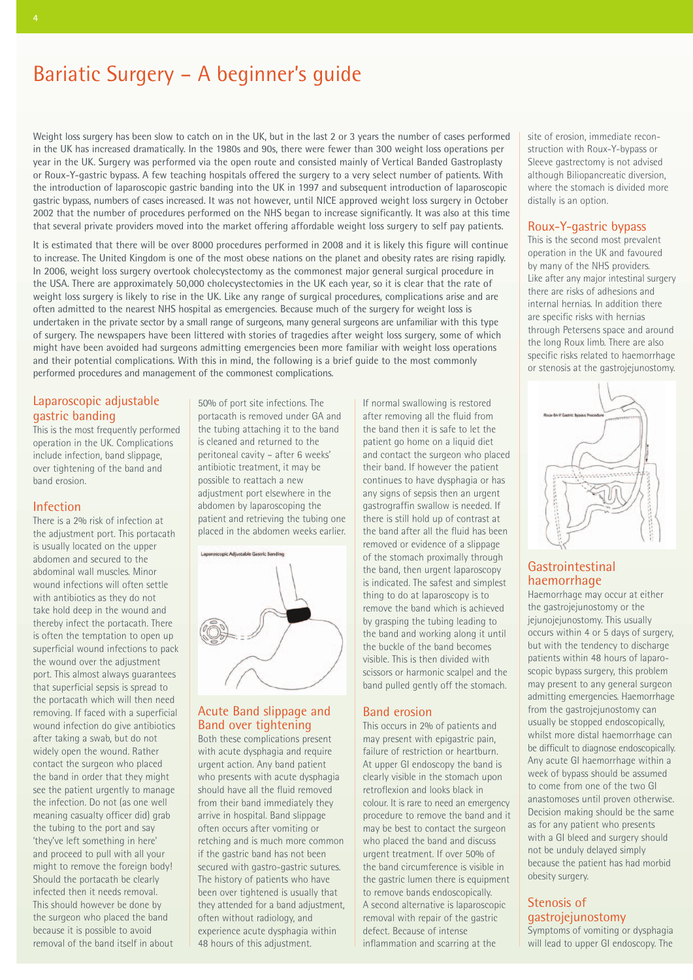## Bariatic Surgery – A beginner's guide

Weight loss surgery has been slow to catch on in the UK, but in the last 2 or 3 years the number of cases performed in the UK has increased dramatically. In the 1980s and 90s, there were fewer than 300 weight loss operations per year in the UK. Surgery was performed via the open route and consisted mainly of Vertical Banded Gastroplasty or Roux-Y-gastric bypass. A few teaching hospitals offered the surgery to a very select number of patients. With the introduction of laparoscopic gastric banding into the UK in 1997 and subsequent introduction of laparoscopic gastric bypass, numbers of cases increased. It was not however, until NICE approved weight loss surgery in October 2002 that the number of procedures performed on the NHS began to increase significantly. It was also at this time that several private providers moved into the market offering affordable weight loss surgery to self pay patients.

It is estimated that there will be over 8000 procedures performed in 2008 and it is likely this figure will continue to increase. The United Kingdom is one of the most obese nations on the planet and obesity rates are rising rapidly. In 2006, weight loss surgery overtook cholecystectomy as the commonest major general surgical procedure in the USA. There are approximately 50,000 cholecystectomies in the UK each year, so it is clear that the rate of weight loss surgery is likely to rise in the UK. Like any range of surgical procedures, complications arise and are often admitted to the nearest NHS hospital as emergencies. Because much of the surgery for weight loss is undertaken in the private sector by a small range of surgeons, many general surgeons are unfamiliar with this type of surgery. The newspapers have been littered with stories of tragedies after weight loss surgery, some of which might have been avoided had surgeons admitting emergencies been more familiar with weight loss operations and their potential complications. With this in mind, the following is a brief guide to the most commonly performed procedures and management of the commonest complications.

#### Laparoscopic adjustable gastric banding

This is the most frequently performed operation in the UK. Complications include infection, band slippage, over tightening of the band and band erosion.

#### Infection

There is a 2% risk of infection at the adjustment port. This portacath is usually located on the upper abdomen and secured to the abdominal wall muscles. Minor wound infections will often settle with antibiotics as they do not take hold deep in the wound and thereby infect the portacath. There is often the temptation to open up superficial wound infections to pack the wound over the adjustment port. This almost always guarantees that superficial sepsis is spread to the portacath which will then need removing. If faced with a superficial wound infection do give antibiotics after taking a swab, but do not widely open the wound. Rather contact the surgeon who placed the band in order that they might see the patient urgently to manage the infection. Do not (as one well meaning casualty officer did) grab the tubing to the port and say 'they've left something in here' and proceed to pull with all your might to remove the foreign body! Should the portacath be clearly infected then it needs removal. This should however be done by the surgeon who placed the band because it is possible to avoid removal of the band itself in about

50% of port site infections. The portacath is removed under GA and the tubing attaching it to the band is cleaned and returned to the peritoneal cavity – after 6 weeks' antibiotic treatment, it may be possible to reattach a new adjustment port elsewhere in the abdomen by laparoscoping the patient and retrieving the tubing one placed in the abdomen weeks earlier.



#### Acute Band slippage and Band over tightening

Both these complications present with acute dysphagia and require urgent action. Any band patient who presents with acute dysphagia should have all the fluid removed from their band immediately they arrive in hospital. Band slippage often occurs after vomiting or retching and is much more common if the gastric band has not been secured with gastro-gastric sutures. The history of patients who have been over tightened is usually that they attended for a band adjustment, often without radiology, and experience acute dysphagia within 48 hours of this adjustment.

If normal swallowing is restored after removing all the fluid from the band then it is safe to let the patient go home on a liquid diet and contact the surgeon who placed their band. If however the patient continues to have dysphagia or has any signs of sepsis then an urgent gastrograffin swallow is needed. If there is still hold up of contrast at the band after all the fluid has been removed or evidence of a slippage of the stomach proximally through the band, then urgent laparoscopy is indicated. The safest and simplest thing to do at laparoscopy is to remove the band which is achieved by grasping the tubing leading to the band and working along it until the buckle of the band becomes visible. This is then divided with scissors or harmonic scalpel and the band pulled gently off the stomach.

#### Band erosion

This occurs in 2% of patients and may present with epigastric pain, failure of restriction or heartburn. At upper GI endoscopy the band is clearly visible in the stomach upon retroflexion and looks black in colour. It is rare to need an emergency procedure to remove the band and it may be best to contact the surgeon who placed the band and discuss urgent treatment. If over 50% of the band circumference is visible in the gastric lumen there is equipment to remove bands endoscopically. A second alternative is laparoscopic removal with repair of the gastric defect. Because of intense inflammation and scarring at the

site of erosion, immediate reconstruction with Roux-Y-bypass or Sleeve gastrectomy is not advised although Biliopancreatic diversion, where the stomach is divided more distally is an option.

#### Roux-Y-gastric bypass

This is the second most prevalent operation in the UK and favoured by many of the NHS providers. Like after any major intestinal surgery there are risks of adhesions and internal hernias. In addition there are specific risks with hernias through Petersens space and around the long Roux limb. There are also specific risks related to haemorrhage or stenosis at the gastrojejunostomy.



#### **Gastrointestinal** haemorrhage

Haemorrhage may occur at either the gastrojejunostomy or the jejunojejunostomy. This usually occurs within 4 or 5 days of surgery, but with the tendency to discharge patients within 48 hours of laparoscopic bypass surgery, this problem may present to any general surgeon admitting emergencies. Haemorrhage from the gastrojejunostomy can usually be stopped endoscopically, whilst more distal haemorrhage can be difficult to diagnose endoscopically. Any acute GI haemorrhage within a week of bypass should be assumed to come from one of the two GI anastomoses until proven otherwise. Decision making should be the same as for any patient who presents with a GI bleed and surgery should not be unduly delayed simply because the patient has had morbid obesity surgery.

#### Stenosis of gastrojejunostomy

Symptoms of vomiting or dysphagia will lead to upper GI endoscopy. The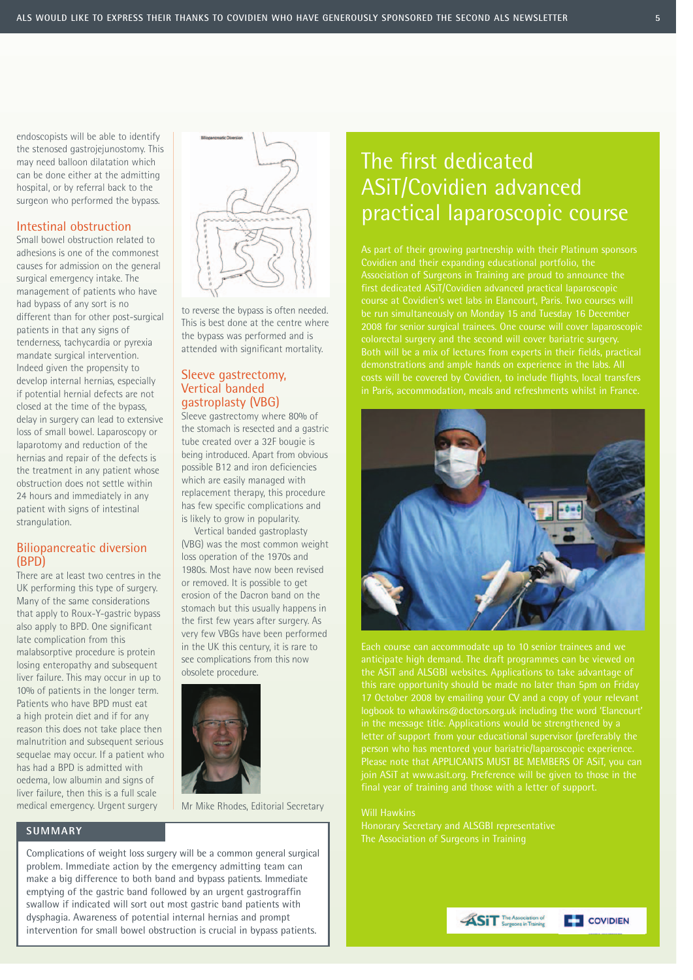endoscopists will be able to identify the stenosed gastrojejunostomy. This may need balloon dilatation which can be done either at the admitting hospital, or by referral back to the surgeon who performed the bypass.

#### Intestinal obstruction

Small bowel obstruction related to adhesions is one of the commonest causes for admission on the general surgical emergency intake. The management of patients who have had bypass of any sort is no different than for other post-surgical patients in that any signs of tenderness, tachycardia or pyrexia mandate surgical intervention. Indeed given the propensity to develop internal hernias, especially if potential hernial defects are not closed at the time of the bypass, delay in surgery can lead to extensive loss of small bowel. Laparoscopy or laparotomy and reduction of the hernias and repair of the defects is the treatment in any patient whose obstruction does not settle within 24 hours and immediately in any patient with signs of intestinal strangulation.

#### Biliopancreatic diversion (BPD)

There are at least two centres in the UK performing this type of surgery. Many of the same considerations that apply to Roux-Y-gastric bypass also apply to BPD. One significant late complication from this malabsorptive procedure is protein losing enteropathy and subsequent liver failure. This may occur in up to 10% of patients in the longer term. Patients who have BPD must eat a high protein diet and if for any reason this does not take place then malnutrition and subsequent serious sequelae may occur. If a patient who has had a BPD is admitted with oedema, low albumin and signs of liver failure, then this is a full scale medical emergency. Urgent surgery



to reverse the bypass is often needed. This is best done at the centre where the bypass was performed and is attended with significant mortality.

#### Sleeve gastrectomy, Vertical banded gastroplasty (VBG)

Sleeve gastrectomy where 80% of the stomach is resected and a gastric tube created over a 32F bougie is being introduced. Apart from obvious possible B12 and iron deficiencies which are easily managed with replacement therapy, this procedure has few specific complications and is likely to grow in popularity.

Vertical banded gastroplasty (VBG) was the most common weight loss operation of the 1970s and 1980s. Most have now been revised or removed. It is possible to get erosion of the Dacron band on the stomach but this usually happens in the first few years after surgery. As very few VBGs have been performed in the UK this century, it is rare to see complications from this now obsolete procedure.



Mr Mike Rhodes, Editorial Secretary

#### **SUMMARY**

Complications of weight loss surgery will be a common general surgical problem. Immediate action by the emergency admitting team can make a big difference to both band and bypass patients. Immediate emptying of the gastric band followed by an urgent gastrograffin swallow if indicated will sort out most gastric band patients with dysphagia. Awareness of potential internal hernias and prompt intervention for small bowel obstruction is crucial in bypass patients.

## The first dedicated ASiT/Covidien advanced practical laparoscopic course

colorectal surgery and the second will cover bariatric surgery. demonstrations and ample hands on experience in the labs. All costs will be covered by Covidien, to include flights, local transfers in Paris, accommodation, meals and refreshments whilst in France.



Each course can accommodate up to 10 senior trainees and we letter of support from your educational supervisor (preferably the Please note that APPLICANTS MUST BE MEMBERS OF ASiT, you can final year of training and those with a letter of support.

Will Hawkins

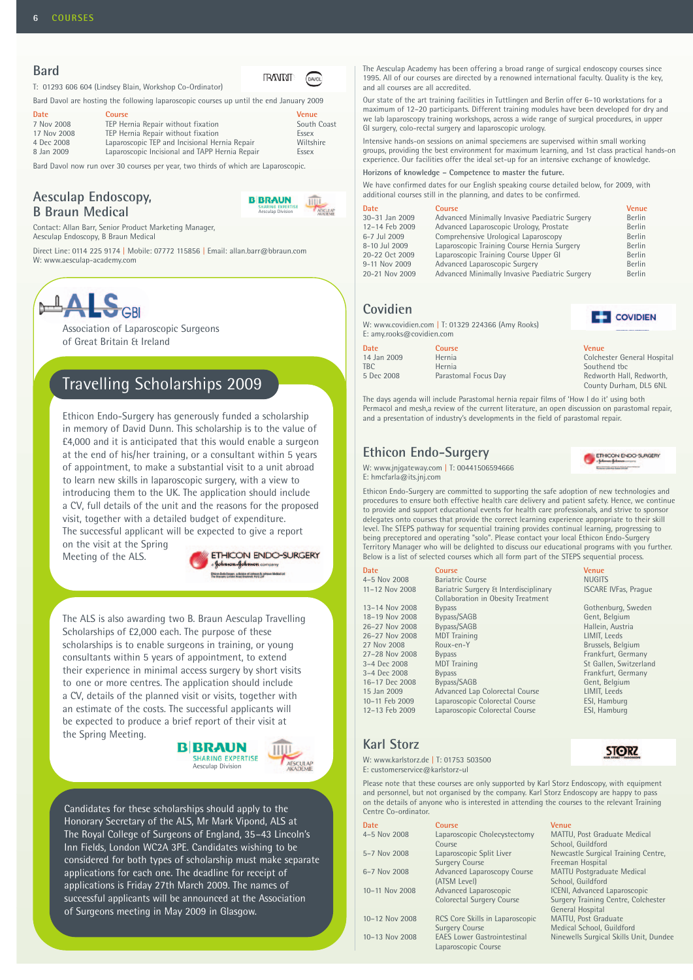#### **Bard**

T: 01293 606 604 (Lindsey Blain, Workshop Co-Ordinator)

Bard Davol are hosting the following laparoscopic courses up until the end January 2009

| Date        | Course                                         | <b>Venue</b> |
|-------------|------------------------------------------------|--------------|
| 7 Nov 2008  | TEP Hernia Repair without fixation             | South Coast  |
| 17 Nov 2008 | TEP Hernia Repair without fixation             | Essex        |
| 4 Dec 2008  | Laparoscopic TEP and Incisional Hernia Repair  | Wiltshire    |
| 8 Jan 2009  | Laparoscopic Incisional and TAPP Hernia Repair | Essex        |
|             |                                                |              |

Bard Davol now run over 30 courses per year, two thirds of which are Laparoscopic.

#### **Aesculap Endoscopy, B Braun Medical**



BANRID

Contact: Allan Barr, Senior Product Marketing Manager, Aesculap Endoscopy, B Braun Medical

Direct Line: 0114 225 9174 | Mobile: 07772 115856 | Email: allan.barr@bbraun.com W: www.aesculap-academy.com



Association of Laparoscopic Surgeons of Great Britain & Ireland

### Travelling Scholarships 2009

Ethicon Endo-Surgery has generously funded a scholarship in memory of David Dunn. This scholarship is to the value of £4,000 and it is anticipated that this would enable a surgeon at the end of his/her training, or a consultant within 5 years of appointment, to make a substantial visit to a unit abroad to learn new skills in laparoscopic surgery, with a view to introducing them to the UK. The application should include a CV, full details of the unit and the reasons for the proposed visit, together with a detailed budget of expenditure. The successful applicant will be expected to give a report

on the visit at the Spring Meeting of the ALS.



The ALS is also awarding two B. Braun Aesculap Travelling Scholarships of £2,000 each. The purpose of these scholarships is to enable surgeons in training, or young consultants within 5 years of appointment, to extend their experience in minimal access surgery by short visits to one or more centres. The application should include a CV, details of the planned visit or visits, together with an estimate of the costs. The successful applicants will be expected to produce a brief report of their visit at the Spring Meeting.



Candidates for these scholarships should apply to the Honorary Secretary of the ALS, Mr Mark Vipond, ALS at The Royal College of Surgeons of England, 35–43 Lincoln's Inn Fields, London WC2A 3PE. Candidates wishing to be considered for both types of scholarship must make separate applications for each one. The deadline for receipt of applications is Friday 27th March 2009. The names of successful applicants will be announced at the Association of Surgeons meeting in May 2009 in Glasgow.

The Aesculap Academy has been offering a broad range of surgical endoscopy courses since 1995. All of our courses are directed by a renowned international faculty. Quality is the key, and all courses are all accredited.

Our state of the art training facilities in Tuttlingen and Berlin offer 6–10 workstations for a maximum of 12–20 participants. Different training modules have been developed for dry and we lab laparoscopy training workshops, across a wide range of surgical procedures, in upper GI surgery, colo-rectal surgery and laparoscopic urology.

Intensive hands-on sessions on animal speciemens are supervised within small working groups, providing the best environment for maximum learning, and 1st class practical hands-on experience. Our facilities offer the ideal set-up for an intensive exchange of knowledge.

**Horizons of knowledge – Competence to master the future.**

We have confirmed dates for our English speaking course detailed below, for 2009, with additional courses still in the planning, and dates to be confirmed.

| Date           | Course                                         | Venue         |
|----------------|------------------------------------------------|---------------|
| 30-31 Jan 2009 | Advanced Minimally Invasive Paediatric Surgery | <b>Berlin</b> |
| 12-14 Feb 2009 | Advanced Laparoscopic Urology, Prostate        | <b>Berlin</b> |
| 6-7 Jul 2009   | Comprehensive Urological Laparoscopy           | <b>Berlin</b> |
| 8-10 Jul 2009  | Laparoscopic Training Course Hernia Surgery    | <b>Berlin</b> |
| 20-22 Oct 2009 | Laparoscopic Training Course Upper GI          | <b>Berlin</b> |
| 9-11 Nov 2009  | Advanced Laparoscopic Surgery                  | <b>Berlin</b> |
| 20-21 Nov 2009 | Advanced Minimally Invasive Paediatric Surgery | <b>Berlin</b> |
|                |                                                |               |

#### **Covidien**

W: www.covidien.com | T: 01329 224366 (Amy Rooks) E: amy.rooks@covidien.com

| Date        | <b>Course</b>        | <b>Venue</b>  |
|-------------|----------------------|---------------|
| 14 Jan 2009 | <b>Hernia</b>        | Colchester Ge |
| TBC.        | Hernia               | Southend tbo  |
| 5 Dec 2008  | Parastomal Focus Day | Redworth Ha   |

Colchester General Hospital Bedworth Hall, Redworth, County Durham, DL5 6NL

**ETHICON ENDO-SURGERY** 

**COVIDIEN** 

The days agenda will include Parastomal hernia repair films of 'How I do it' using both Permacol and mesh,a review of the current literature, an open discussion on parastomal repair, and a presentation of industry's developments in the field of parastomal repair.

#### **Ethicon Endo-Surgery**



Ethicon Endo-Surgery are committed to supporting the safe adoption of new technologies and procedures to ensure both effective health care delivery and patient safety. Hence, we continue to provide and support educational events for health care professionals, and strive to sponsor delegates onto courses that provide the correct learning experience appropriate to their skill level. The STEPS pathway for sequential training provides continual learning, progressing to being preceptored and operating "solo". Please contact your local Ethicon Endo-Surgery Territory Manager who will be delighted to discuss our educational programs with you further. Below is a list of selected courses which all form part of the STEPS sequential process.

| <b>Date</b>          | Course                                                                      | Venue          |
|----------------------|-----------------------------------------------------------------------------|----------------|
| 4-5 Nov 2008         | <b>Bariatric Course</b>                                                     | <b>NUGITS</b>  |
| 11-12 Nov 2008       | Bariatric Surgery & Interdisciplinary<br>Collaboration in Obesity Treatment | <b>ISCARE</b>  |
| 13-14 Nov 2008       | <b>Bypass</b>                                                               | Gothen         |
| 18-19 Nov 2008       | Bypass/SAGB                                                                 | Gent, B        |
| 26-27 Nov 2008       | Bypass/SAGB                                                                 | Hallein,       |
| 26-27 Nov 2008       | <b>MDT</b> Training                                                         | LIMIT, L       |
| 27 Nov 2008          | Roux-en-Y                                                                   | Brussel:       |
| 27-28 Nov 2008       | <b>Bypass</b>                                                               | Frankfu        |
| 3-4 Dec 2008         | <b>MDT</b> Training                                                         | St Galle       |
| 3-4 Dec 2008         | <b>Bypass</b>                                                               | Frankfu        |
| 16-17 Dec 2008       | Bypass/SAGB                                                                 | Gent, B        |
| 15 Jan 2009          | Advanced Lap Colorectal Course                                              | LIMIT, L       |
| 10-11 Feb 2009       | Laparoscopic Colorectal Course                                              | ESI, Har       |
| $12 - 13$ Feb $2009$ | Lanarosconic Colorectal Course                                              | <b>ESI Hai</b> |

11–12 ISCARE IVFas, Prague

Gothenburg, Sweden Gent, Belgium Hallein, Austria LIMIT, Leeds Brussels, Belgium-Frankfurt, Germany St Gallen, Switzerland Frankfurt, Germany 16–17 Gent, Belgium<br>16–17 Dec 2008 Bypass<br>16–17 Dec 2008 Bypass LIMIT, Leeds 10–11 Feb 2009 Laparoscopic Colorectal Course ESI, Hamburg 12–13 Feb 2009 Laparoscopic Colorectal Course ESI, Hamburg

**STORZ** 

#### **Karl Storz**

W: www.karlstorz.de | T: 01753 503500 E: customerservice@karlstorz-ul

Please note that these courses are only supported by Karl Storz Endoscopy, with equipment and personnel, but not organised by the company. Karl Storz Endoscopy are happy to pass on the details of anyone who is interested in attending the courses to the relevant Training Centre Co-ordinator.

| <b>Date</b>    | Course                                                    | <b>Venue</b>                           |
|----------------|-----------------------------------------------------------|----------------------------------------|
| 4-5 Nov 2008   | Laparoscopic Cholecystectomy                              | MATTU, Post Graduate Medical           |
|                | Course                                                    | School. Guildford                      |
| 5-7 Nov 2008   | Laparoscopic Split Liver                                  | Newcastle Surgical Training Centre,    |
|                | <b>Surgery Course</b>                                     | Freeman Hospital                       |
| 6-7 Nov 2008   | Advanced Laparoscopy Course                               | <b>MATTU Postgraduate Medical</b>      |
|                | (ATSM Level)                                              | School, Guildford                      |
| 10-11 Nov 2008 | Advanced Laparoscopic                                     | ICENI, Advanced Laparoscopic           |
|                | <b>Colorectal Surgery Course</b>                          | Surgery Training Centre, Colchester    |
|                |                                                           | General Hospital                       |
| 10-12 Nov 2008 | RCS Core Skills in Laparoscopic                           | MATTU, Post Graduate                   |
|                | <b>Surgery Course</b>                                     | Medical School, Guildford              |
| 10-13 Nov 2008 | <b>EAES Lower Gastrointestinal</b><br>Laparoscopic Course | Ninewells Surgical Skills Unit, Dundee |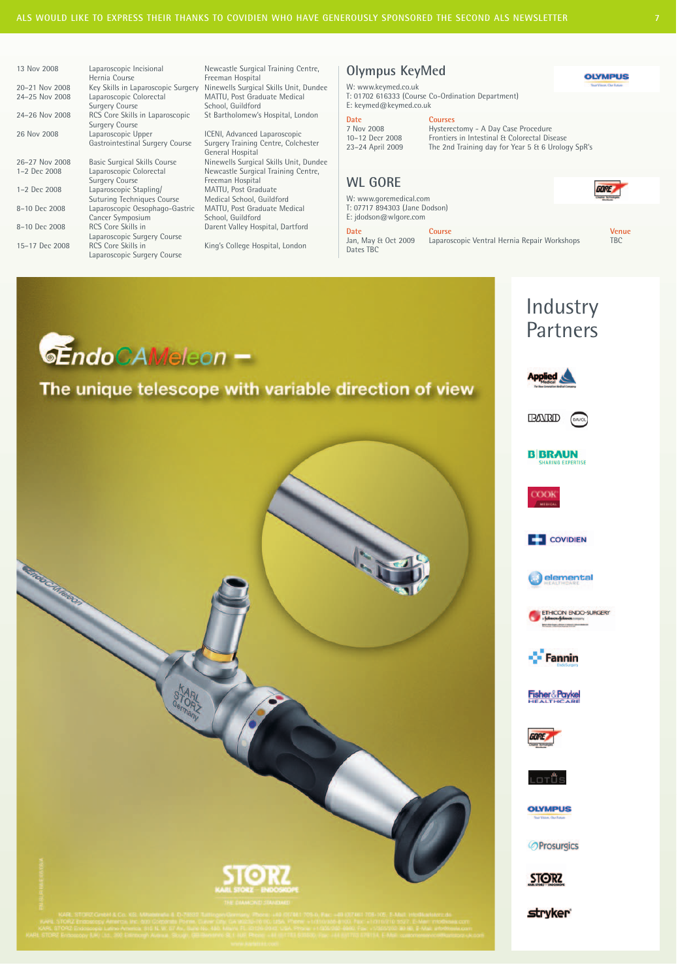**Calgary Road** 

Hernia Course<br>Key Skills in Laparoscopic Surgery Ninewells Surgica Surgery Course **Surgery Course Access** School, Guildford 24–26 Nov 2008 RCS Core Skills in Laparoscopic St Bartholomew's Hospital, London Surgery Course<br>Laparoscopic Upper 26 Nov 2008 Laparoscopic Upper ICENI, Advanced Laparoscopic<br>Gastrointestinal Surgery Course Surgery Training Centre, Colch

Surgery Course Freeman Hospital 1–2 Dec 2008 Laparoscopic Stapling/ MATTU, Post Graduate Suturing Techniques Course Medical School, Guildford<br>Laparoscopic Oesophago-Gastric MATTU, Post Graduate Medical 8–10 Dec 2008 Laparoscopic Oesophago-Gastric MATTU, Post Grad<br>Cancer Symposium School, Guildford Cancer Symposium<br>RCS Core Skills in 8–10 Dec 2008 RCS Core Skills in Darent Valley Hospital, Dartford Laparoscopic Surgery Course<br>RCS Core Skills in 15–17 Dec 2008 RCS Core Skills in King's College Hospital, London Laparoscopic Surgery Course

13 Nov 2008 Laparoscopic Incisional Newcastle Surgical Training Centre,<br>Hernia Course Hernia Centre, Freeman Hospital 20–21 Nov 2008 Key Skills in Laparoscopic Surgery Ninewells Surgical Skills Unit, Dundee MATTU, Post Graduate Medical<br>School. Guildford

Surgery Training Centre, Colchester General Hospital 26–27 Nov 2008 Basic Surgical Skills Course Ninewells Surgical Skills Unit, Dundee 1–2 Dec 2008 Laparoscopic Colorectal Newcastle Surgical Training Centre,

#### **Olympus KeyMed**

#### W: www.keymed.co.uk T: 01702 616333 (Course Co-Ordination Department) E: keymed@keymed.co.uk

**Date Courses**<br> **Courses**<br> **Z** Nov 2008 7 Nov 2008 Hysterectomy - A Day Case Procedure 10–12 Decr 2008 Frontiers in Intestinal & Colorectal Disease

23–24 April 2009 The 2nd Training day for Year 5 & 6 Urology SpR's

#### **WL GORE**

W: www.goremedical.com T: 07717 894303 (Jane Dodson) E: jdodson@wlgore.com

**Date Course Course Venue** Jan, May & Oct 2009 Laparoscopic Ventral Hernia Repair Workshops TBC Dates TBC

**OLYMPUS** 

**GORE** 

CEndo CAMeleon -

#### The unique telescope with variable direction of view





Industry Partners









**ETHICON ENDO-SURGERY** 



**Fisher&Payke**<br>HEALTHCARE



 $n - m =$ 

**OLYMPUS** 

*<u>* Prosurgics</u>



**stryker**